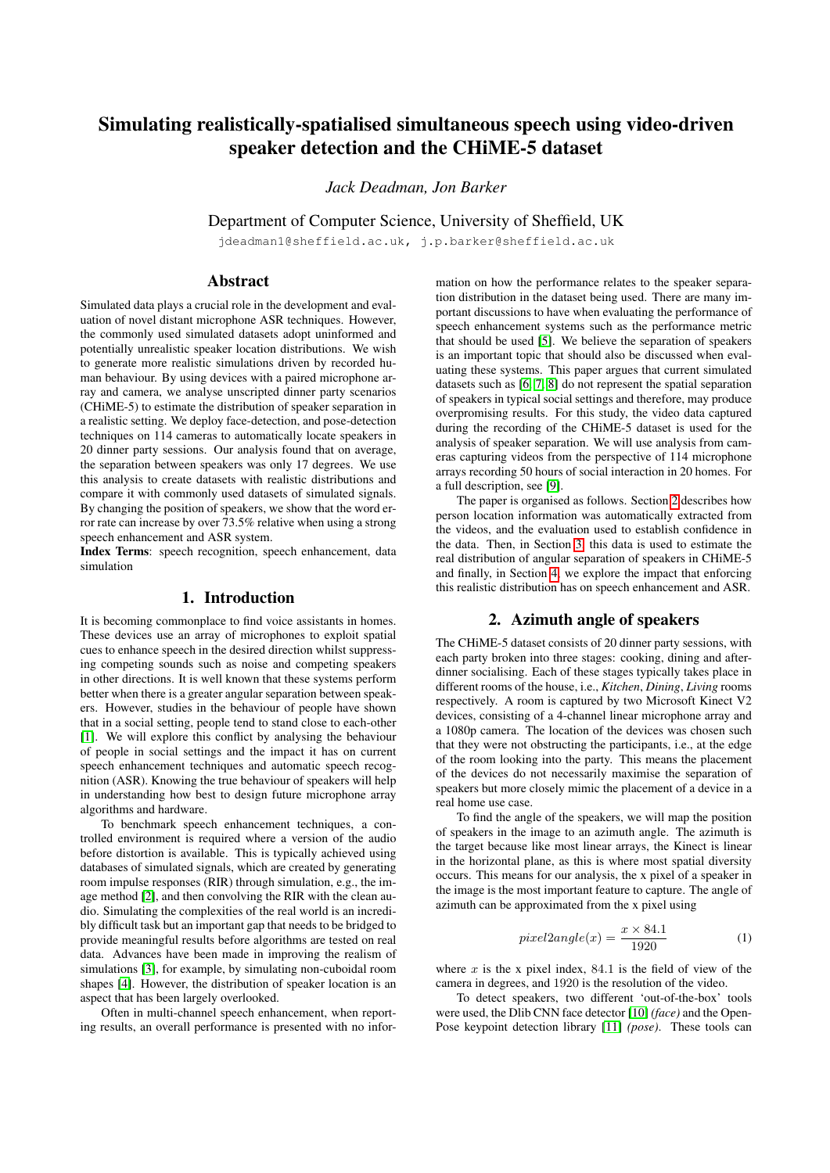# Simulating realistically-spatialised simultaneous speech using video-driven speaker detection and the CHiME-5 dataset

*Jack Deadman, Jon Barker*

Department of Computer Science, University of Sheffield, UK

jdeadman1@sheffield.ac.uk, j.p.barker@sheffield.ac.uk

# Abstract

Simulated data plays a crucial role in the development and evaluation of novel distant microphone ASR techniques. However, the commonly used simulated datasets adopt uninformed and potentially unrealistic speaker location distributions. We wish to generate more realistic simulations driven by recorded human behaviour. By using devices with a paired microphone array and camera, we analyse unscripted dinner party scenarios (CHiME-5) to estimate the distribution of speaker separation in a realistic setting. We deploy face-detection, and pose-detection techniques on 114 cameras to automatically locate speakers in 20 dinner party sessions. Our analysis found that on average, the separation between speakers was only 17 degrees. We use this analysis to create datasets with realistic distributions and compare it with commonly used datasets of simulated signals. By changing the position of speakers, we show that the word error rate can increase by over 73.5% relative when using a strong speech enhancement and ASR system.

Index Terms: speech recognition, speech enhancement, data simulation

### 1. Introduction

It is becoming commonplace to find voice assistants in homes. These devices use an array of microphones to exploit spatial cues to enhance speech in the desired direction whilst suppressing competing sounds such as noise and competing speakers in other directions. It is well known that these systems perform better when there is a greater angular separation between speakers. However, studies in the behaviour of people have shown that in a social setting, people tend to stand close to each-other [\[1\]](#page-4-0). We will explore this conflict by analysing the behaviour of people in social settings and the impact it has on current speech enhancement techniques and automatic speech recognition (ASR). Knowing the true behaviour of speakers will help in understanding how best to design future microphone array algorithms and hardware.

To benchmark speech enhancement techniques, a controlled environment is required where a version of the audio before distortion is available. This is typically achieved using databases of simulated signals, which are created by generating room impulse responses (RIR) through simulation, e.g., the image method [\[2\]](#page-4-1), and then convolving the RIR with the clean audio. Simulating the complexities of the real world is an incredibly difficult task but an important gap that needs to be bridged to provide meaningful results before algorithms are tested on real data. Advances have been made in improving the realism of simulations [\[3\]](#page-4-2), for example, by simulating non-cuboidal room shapes [\[4\]](#page-4-3). However, the distribution of speaker location is an aspect that has been largely overlooked.

Often in multi-channel speech enhancement, when reporting results, an overall performance is presented with no information on how the performance relates to the speaker separation distribution in the dataset being used. There are many important discussions to have when evaluating the performance of speech enhancement systems such as the performance metric that should be used [\[5\]](#page-4-4). We believe the separation of speakers is an important topic that should also be discussed when evaluating these systems. This paper argues that current simulated datasets such as [\[6,](#page-4-5) [7,](#page-4-6) [8\]](#page-4-7) do not represent the spatial separation of speakers in typical social settings and therefore, may produce overpromising results. For this study, the video data captured during the recording of the CHiME-5 dataset is used for the analysis of speaker separation. We will use analysis from cameras capturing videos from the perspective of 114 microphone arrays recording 50 hours of social interaction in 20 homes. For a full description, see [\[9\]](#page-4-8).

The paper is organised as follows. Section [2](#page-0-0) describes how person location information was automatically extracted from the videos, and the evaluation used to establish confidence in the data. Then, in Section [3,](#page-1-0) this data is used to estimate the real distribution of angular separation of speakers in CHiME-5 and finally, in Section [4,](#page-2-0) we explore the impact that enforcing this realistic distribution has on speech enhancement and ASR.

# 2. Azimuth angle of speakers

<span id="page-0-0"></span>The CHiME-5 dataset consists of 20 dinner party sessions, with each party broken into three stages: cooking, dining and afterdinner socialising. Each of these stages typically takes place in different rooms of the house, i.e., *Kitchen*, *Dining*, *Living* rooms respectively. A room is captured by two Microsoft Kinect V2 devices, consisting of a 4-channel linear microphone array and a 1080p camera. The location of the devices was chosen such that they were not obstructing the participants, i.e., at the edge of the room looking into the party. This means the placement of the devices do not necessarily maximise the separation of speakers but more closely mimic the placement of a device in a real home use case.

To find the angle of the speakers, we will map the position of speakers in the image to an azimuth angle. The azimuth is the target because like most linear arrays, the Kinect is linear in the horizontal plane, as this is where most spatial diversity occurs. This means for our analysis, the x pixel of a speaker in the image is the most important feature to capture. The angle of azimuth can be approximated from the x pixel using

$$
pixel2angle(x) = \frac{x \times 84.1}{1920}
$$
 (1)

where  $x$  is the x pixel index, 84.1 is the field of view of the camera in degrees, and 1920 is the resolution of the video.

To detect speakers, two different 'out-of-the-box' tools were used, the Dlib CNN face detector [\[10\]](#page-4-9) *(face)* and the Open-Pose keypoint detection library [\[11\]](#page-4-10) *(pose)*. These tools can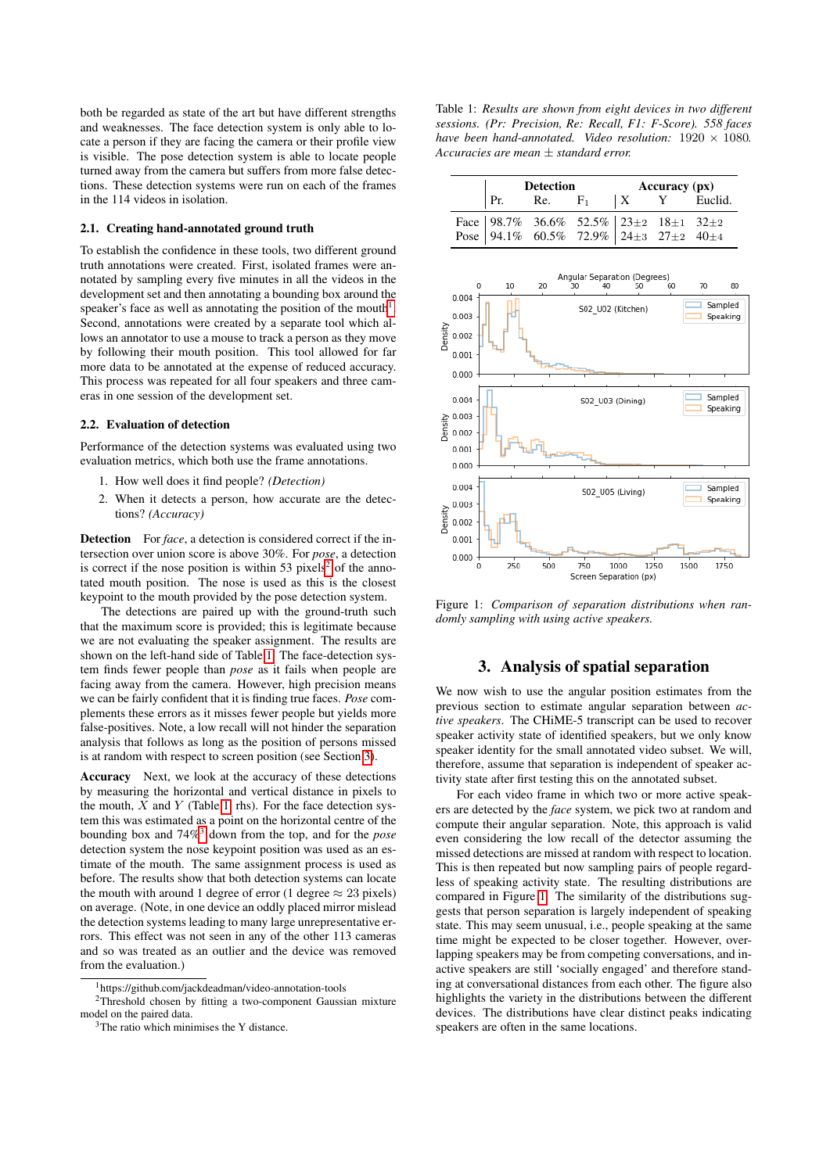both be regarded as state of the art but have different strengths and weaknesses. The face detection system is only able to locate a person if they are facing the camera or their profile view is visible. The pose detection system is able to locate people turned away from the camera but suffers from more false detections. These detection systems were run on each of the frames in the 114 videos in isolation.

#### 2.1. Creating hand-annotated ground truth

To establish the confidence in these tools, two different ground truth annotations were created. First, isolated frames were annotated by sampling every five minutes in all the videos in the development set and then annotating a bounding box around the speaker's face as well as annotating the position of the mouth<sup>[1](#page-1-1)</sup>. Second, annotations were created by a separate tool which allows an annotator to use a mouse to track a person as they move by following their mouth position. This tool allowed for far more data to be annotated at the expense of reduced accuracy. This process was repeated for all four speakers and three cameras in one session of the development set.

#### 2.2. Evaluation of detection

Performance of the detection systems was evaluated using two evaluation metrics, which both use the frame annotations.

- 1. How well does it find people? *(Detection)*
- 2. When it detects a person, how accurate are the detections? *(Accuracy)*

Detection For *face*, a detection is considered correct if the intersection over union score is above 30%. For *pose*, a detection is correct if the nose position is within 53 pixels<sup>[2](#page-1-2)</sup> of the annotated mouth position. The nose is used as this is the closest keypoint to the mouth provided by the pose detection system.

The detections are paired up with the ground-truth such that the maximum score is provided; this is legitimate because we are not evaluating the speaker assignment. The results are shown on the left-hand side of Table [1.](#page-1-3) The face-detection system finds fewer people than *pose* as it fails when people are facing away from the camera. However, high precision means we can be fairly confident that it is finding true faces. *Pose* complements these errors as it misses fewer people but yields more false-positives. Note, a low recall will not hinder the separation analysis that follows as long as the position of persons missed is at random with respect to screen position (see Section [3\)](#page-1-0).

Accuracy Next, we look at the accuracy of these detections by measuring the horizontal and vertical distance in pixels to the mouth,  $X$  and  $Y$  (Table [1,](#page-1-3) rhs). For the face detection system this was estimated as a point on the horizontal centre of the bounding box and 74%[3](#page-1-4) down from the top, and for the *pose* detection system the nose keypoint position was used as an estimate of the mouth. The same assignment process is used as before. The results show that both detection systems can locate the mouth with around 1 degree of error (1 degree  $\approx 23$  pixels) on average. (Note, in one device an oddly placed mirror mislead the detection systems leading to many large unrepresentative errors. This effect was not seen in any of the other 113 cameras and so was treated as an outlier and the device was removed from the evaluation.)

<span id="page-1-3"></span>Table 1: *Results are shown from eight devices in two different sessions. (Pr: Precision, Re: Recall, F1: F-Score). 558 faces have been hand-annotated. Video resolution:* 1920 × 1080*. Accuracies are mean* ± *standard error.*

| <b>Detection</b> |                                                                                |  | Accuracy (px) |  |  |
|------------------|--------------------------------------------------------------------------------|--|---------------|--|--|
|                  | Pr. Re. $F_1$   X Y Euclid.                                                    |  |               |  |  |
|                  | Face 98.7% 36.6% 52.5% 23±2 18±1 32±2<br>Pose 94.1% 60.5% 72.9% 24±3 27±2 40±4 |  |               |  |  |
|                  |                                                                                |  |               |  |  |

<span id="page-1-5"></span>

Figure 1: *Comparison of separation distributions when randomly sampling with using active speakers.*

## 3. Analysis of spatial separation

<span id="page-1-0"></span>We now wish to use the angular position estimates from the previous section to estimate angular separation between *active speakers*. The CHiME-5 transcript can be used to recover speaker activity state of identified speakers, but we only know speaker identity for the small annotated video subset. We will, therefore, assume that separation is independent of speaker activity state after first testing this on the annotated subset.

For each video frame in which two or more active speakers are detected by the *face* system, we pick two at random and compute their angular separation. Note, this approach is valid even considering the low recall of the detector assuming the missed detections are missed at random with respect to location. This is then repeated but now sampling pairs of people regardless of speaking activity state. The resulting distributions are compared in Figure [1.](#page-1-5) The similarity of the distributions suggests that person separation is largely independent of speaking state. This may seem unusual, i.e., people speaking at the same time might be expected to be closer together. However, overlapping speakers may be from competing conversations, and inactive speakers are still 'socially engaged' and therefore standing at conversational distances from each other. The figure also highlights the variety in the distributions between the different devices. The distributions have clear distinct peaks indicating speakers are often in the same locations.

<span id="page-1-2"></span><span id="page-1-1"></span><sup>1</sup>https://github.com/jackdeadman/video-annotation-tools

<sup>&</sup>lt;sup>2</sup>Threshold chosen by fitting a two-component Gaussian mixture model on the paired data.

<span id="page-1-4"></span><sup>&</sup>lt;sup>3</sup>The ratio which minimises the Y distance.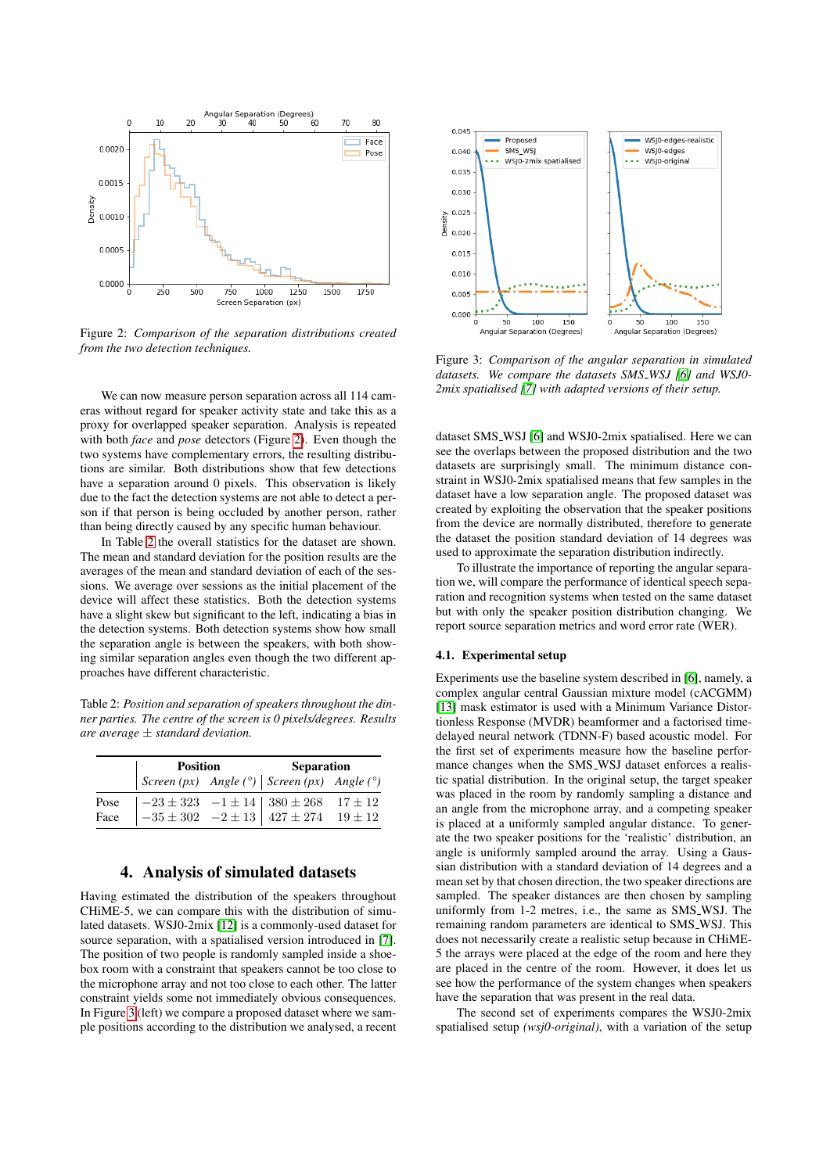<span id="page-2-1"></span>

Figure 2: *Comparison of the separation distributions created from the two detection techniques.*

We can now measure person separation across all 114 cameras without regard for speaker activity state and take this as a proxy for overlapped speaker separation. Analysis is repeated with both *face* and *pose* detectors (Figure [2\)](#page-2-1). Even though the two systems have complementary errors, the resulting distributions are similar. Both distributions show that few detections have a separation around 0 pixels. This observation is likely due to the fact the detection systems are not able to detect a person if that person is being occluded by another person, rather than being directly caused by any specific human behaviour.

In Table [2](#page-2-2) the overall statistics for the dataset are shown. The mean and standard deviation for the position results are the averages of the mean and standard deviation of each of the sessions. We average over sessions as the initial placement of the device will affect these statistics. Both the detection systems have a slight skew but significant to the left, indicating a bias in the detection systems. Both detection systems show how small the separation angle is between the speakers, with both showing similar separation angles even though the two different approaches have different characteristic.

<span id="page-2-2"></span>Table 2: *Position and separation of speakers throughout the dinner parties. The centre of the screen is 0 pixels/degrees. Results are average* ± *standard deviation.*

|      | <b>Position</b>                                                                                                     | <b>Separation</b>                             |  |  |
|------|---------------------------------------------------------------------------------------------------------------------|-----------------------------------------------|--|--|
|      |                                                                                                                     | Screen (px) Angle (°)   Screen (px) Angle (°) |  |  |
| Pose |                                                                                                                     |                                               |  |  |
| Face | $\begin{array}{ rcll } -23\pm323& -1\pm14& 380\pm268& 17\pm12\\ -35\pm302& -2\pm13& 427\pm274& 19\pm12 \end{array}$ |                                               |  |  |

# 4. Analysis of simulated datasets

<span id="page-2-0"></span>Having estimated the distribution of the speakers throughout CHiME-5, we can compare this with the distribution of simulated datasets. WSJ0-2mix [\[12\]](#page-4-11) is a commonly-used dataset for source separation, with a spatialised version introduced in [\[7\]](#page-4-6). The position of two people is randomly sampled inside a shoebox room with a constraint that speakers cannot be too close to the microphone array and not too close to each other. The latter constraint yields some not immediately obvious consequences. In Figure [3](#page-2-3) (left) we compare a proposed dataset where we sample positions according to the distribution we analysed, a recent

<span id="page-2-3"></span>

Figure 3: *Comparison of the angular separation in simulated datasets. We compare the datasets SMS WSJ [\[6\]](#page-4-5) and WSJ0- 2mix spatialised [\[7\]](#page-4-6) with adapted versions of their setup.*

dataset SMS\_WSJ [\[6\]](#page-4-5) and WSJ0-2mix spatialised. Here we can see the overlaps between the proposed distribution and the two datasets are surprisingly small. The minimum distance constraint in WSJ0-2mix spatialised means that few samples in the dataset have a low separation angle. The proposed dataset was created by exploiting the observation that the speaker positions from the device are normally distributed, therefore to generate the dataset the position standard deviation of 14 degrees was used to approximate the separation distribution indirectly.

To illustrate the importance of reporting the angular separation we, will compare the performance of identical speech separation and recognition systems when tested on the same dataset but with only the speaker position distribution changing. We report source separation metrics and word error rate (WER).

#### 4.1. Experimental setup

Experiments use the baseline system described in [\[6\]](#page-4-5), namely, a complex angular central Gaussian mixture model (cACGMM) [\[13\]](#page-4-12) mask estimator is used with a Minimum Variance Distortionless Response (MVDR) beamformer and a factorised timedelayed neural network (TDNN-F) based acoustic model. For the first set of experiments measure how the baseline performance changes when the SMS\_WSJ dataset enforces a realistic spatial distribution. In the original setup, the target speaker was placed in the room by randomly sampling a distance and an angle from the microphone array, and a competing speaker is placed at a uniformly sampled angular distance. To generate the two speaker positions for the 'realistic' distribution, an angle is uniformly sampled around the array. Using a Gaussian distribution with a standard deviation of 14 degrees and a mean set by that chosen direction, the two speaker directions are sampled. The speaker distances are then chosen by sampling uniformly from 1-2 metres, i.e., the same as SMS WSJ. The remaining random parameters are identical to SMS WSJ. This does not necessarily create a realistic setup because in CHiME-5 the arrays were placed at the edge of the room and here they are placed in the centre of the room. However, it does let us see how the performance of the system changes when speakers have the separation that was present in the real data.

The second set of experiments compares the WSJ0-2mix spatialised setup *(wsj0-original)*, with a variation of the setup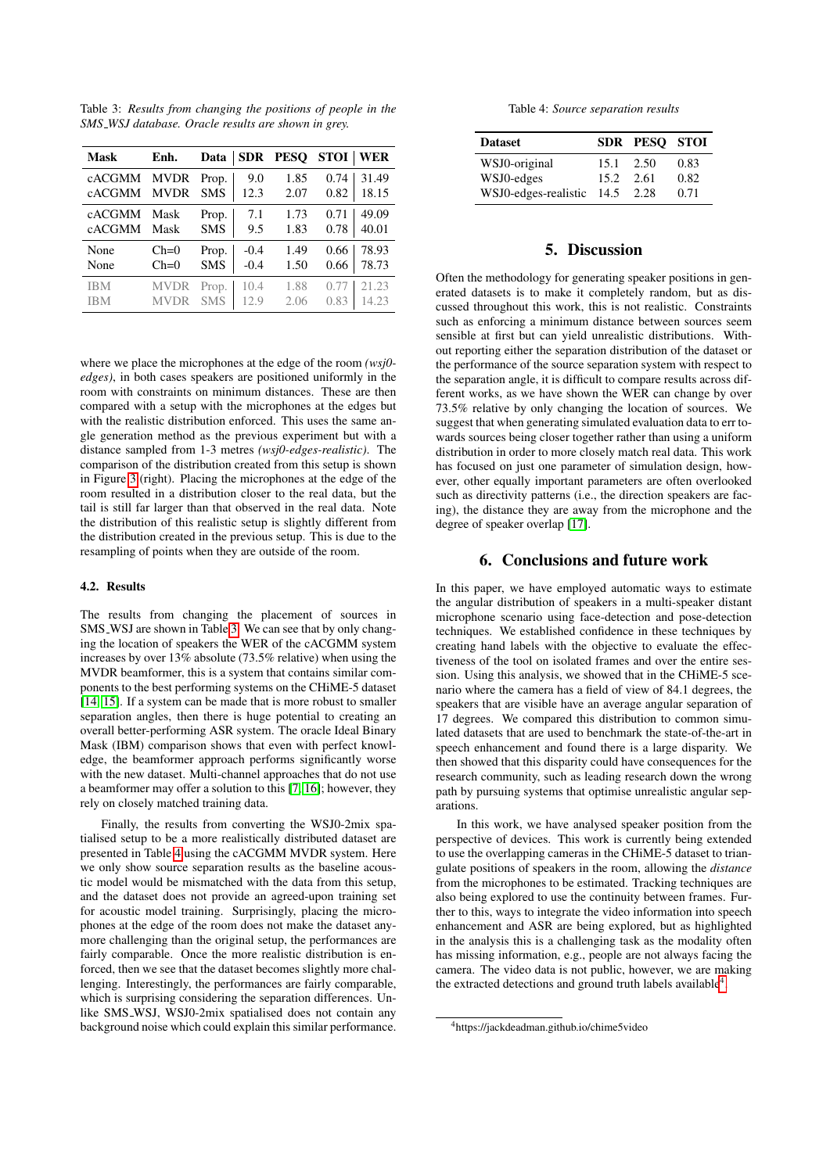<span id="page-3-0"></span>Table 3: *Results from changing the positions of people in the SMS WSJ database. Oracle results are shown in grey.*

| <b>Mask</b> | Enh.        | Data       |        | SDR PESQ | STOI | <b>WER</b> |
|-------------|-------------|------------|--------|----------|------|------------|
| cACGMM      | <b>MVDR</b> | Prop.      | 9.0    | 1.85     | 0.74 | 31.49      |
| cACGMM      | <b>MVDR</b> | <b>SMS</b> | 12.3   | 2.07     | 0.82 | 18.15      |
| cACGMM      | Mask        | Prop.      | 7.1    | 1.73     | 0.71 | 49.09      |
| cACGMM      | Mask        | <b>SMS</b> | 9.5    | 1.83     | 0.78 | 40.01      |
| None        | $Ch=0$      | Prop.      | $-0.4$ | 1.49     | 0.66 | 78.93      |
| None        | $Ch=0$      | <b>SMS</b> | $-0.4$ | 1.50     | 0.66 | 78.73      |
| <b>IBM</b>  | <b>MVDR</b> | Prop.      | 10.4   | 1.88     | 0.77 | 21.23      |
| <b>IBM</b>  | <b>MVDR</b> | <b>SMS</b> | 12.9   | 2.06     | 0.83 | 14.23      |

where we place the microphones at the edge of the room *(wsj0 edges)*, in both cases speakers are positioned uniformly in the room with constraints on minimum distances. These are then compared with a setup with the microphones at the edges but with the realistic distribution enforced. This uses the same angle generation method as the previous experiment but with a distance sampled from 1-3 metres *(wsj0-edges-realistic)*. The comparison of the distribution created from this setup is shown in Figure [3](#page-2-3) (right). Placing the microphones at the edge of the room resulted in a distribution closer to the real data, but the tail is still far larger than that observed in the real data. Note the distribution of this realistic setup is slightly different from the distribution created in the previous setup. This is due to the resampling of points when they are outside of the room.

### 4.2. Results

The results from changing the placement of sources in SMS\_WSJ are shown in Table [3.](#page-3-0) We can see that by only changing the location of speakers the WER of the cACGMM system increases by over 13% absolute (73.5% relative) when using the MVDR beamformer, this is a system that contains similar components to the best performing systems on the CHiME-5 dataset [\[14,](#page-4-13) [15\]](#page-4-14). If a system can be made that is more robust to smaller separation angles, then there is huge potential to creating an overall better-performing ASR system. The oracle Ideal Binary Mask (IBM) comparison shows that even with perfect knowledge, the beamformer approach performs significantly worse with the new dataset. Multi-channel approaches that do not use a beamformer may offer a solution to this [\[7,](#page-4-6) [16\]](#page-4-15); however, they rely on closely matched training data.

Finally, the results from converting the WSJ0-2mix spatialised setup to be a more realistically distributed dataset are presented in Table [4](#page-3-1) using the cACGMM MVDR system. Here we only show source separation results as the baseline acoustic model would be mismatched with the data from this setup, and the dataset does not provide an agreed-upon training set for acoustic model training. Surprisingly, placing the microphones at the edge of the room does not make the dataset anymore challenging than the original setup, the performances are fairly comparable. Once the more realistic distribution is enforced, then we see that the dataset becomes slightly more challenging. Interestingly, the performances are fairly comparable, which is surprising considering the separation differences. Unlike SMS WSJ, WSJ0-2mix spatialised does not contain any background noise which could explain this similar performance.

Table 4: *Source separation results*

<span id="page-3-1"></span>

| <b>Dataset</b>       |       | <b>SDR PESO STOI</b> |      |
|----------------------|-------|----------------------|------|
| WSJ0-original        | 15.1  | 2.50                 | 0.83 |
| WSJ0-edges           | 15.2. | 2.61                 | 0.82 |
| WSJ0-edges-realistic | 14.5  | 2.28                 | 0.71 |

# 5. Discussion

Often the methodology for generating speaker positions in generated datasets is to make it completely random, but as discussed throughout this work, this is not realistic. Constraints such as enforcing a minimum distance between sources seem sensible at first but can yield unrealistic distributions. Without reporting either the separation distribution of the dataset or the performance of the source separation system with respect to the separation angle, it is difficult to compare results across different works, as we have shown the WER can change by over 73.5% relative by only changing the location of sources. We suggest that when generating simulated evaluation data to err towards sources being closer together rather than using a uniform distribution in order to more closely match real data. This work has focused on just one parameter of simulation design, however, other equally important parameters are often overlooked such as directivity patterns (i.e., the direction speakers are facing), the distance they are away from the microphone and the degree of speaker overlap [\[17\]](#page-4-16).

## 6. Conclusions and future work

In this paper, we have employed automatic ways to estimate the angular distribution of speakers in a multi-speaker distant microphone scenario using face-detection and pose-detection techniques. We established confidence in these techniques by creating hand labels with the objective to evaluate the effectiveness of the tool on isolated frames and over the entire session. Using this analysis, we showed that in the CHiME-5 scenario where the camera has a field of view of 84.1 degrees, the speakers that are visible have an average angular separation of 17 degrees. We compared this distribution to common simulated datasets that are used to benchmark the state-of-the-art in speech enhancement and found there is a large disparity. We then showed that this disparity could have consequences for the research community, such as leading research down the wrong path by pursuing systems that optimise unrealistic angular separations.

In this work, we have analysed speaker position from the perspective of devices. This work is currently being extended to use the overlapping cameras in the CHiME-5 dataset to triangulate positions of speakers in the room, allowing the *distance* from the microphones to be estimated. Tracking techniques are also being explored to use the continuity between frames. Further to this, ways to integrate the video information into speech enhancement and ASR are being explored, but as highlighted in the analysis this is a challenging task as the modality often has missing information, e.g., people are not always facing the camera. The video data is not public, however, we are making the extracted detections and ground truth labels available $4$ .

<span id="page-3-2"></span><sup>4</sup>https://jackdeadman.github.io/chime5video